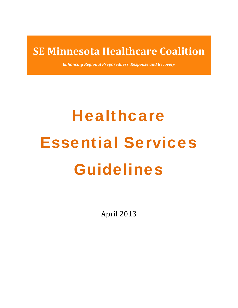## **SE Minnesota Healthcare Coalition**

*Enhancing Regional Preparedness, Response and Recovery*

# **Healthcare** Essential Services Guidelines

April 2013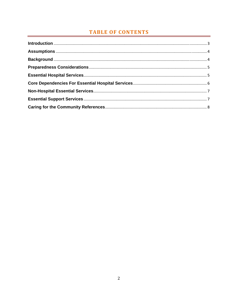### **TABLE OF CONTENTS**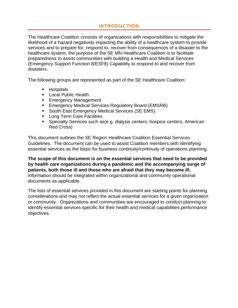#### **INTRODUCTION**

The Healthcare Coalition consists of organizations with responsibilities to mitigate the likelihood of a hazard negatively impacting the ability of a healthcare system to provide services and to prepare for, respond to, recover from consequences of a disaster to the healthcare system, the purpose of the SE MN Healthcare Coalition is to facilitate preparedness to assist communities with building a Health and Medical Services (Emergency Support Function 8/ESF8) Capability to respond to and recover from disasters.

The following groups are represented as part of the SE Healthcare Coalition:

- **Hospitals**
- **Local Public Health**
- **Emergency Management**
- **Emergency Medical Services Regulatory Board (EMSRB)**
- **South East Emergency Medical Services (SE EMS)**
- **Long Term Care Facilities**
- Specialty Services such as(e.g. dialysis centers, hospice centers, American Red Cross)

This document outlines the SE Region Healthcare Coalition Essential Services Guidelines. The document can be used to assist Coalition members with identifying essential services as the basic for business continuity/continuity of operations planning.

**The scope of this document is on the essential services that need to be provided by health care organizations during a pandemic and the accompanying surge of patients, both those ill and those who are afraid that they may become ill;** information should be integrated within organizational and community operational documents as applicable.

The lists of essential services provided in this document are starting points for planning considerations and may not reflect the actual essential services for a given organization or community. Organizations and communities are encouraged to conduct planning to identify essential services specific for their health and medical capabilities performance objectives.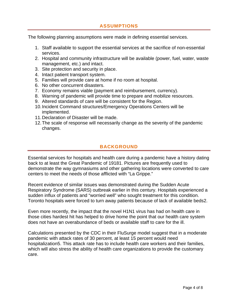#### **ASSUMPTIONS**

The following planning assumptions were made in defining essential services.

- 1. Staff available to support the essential services at the sacrifice of non-essential services.
- 2. Hospital and community infrastructure will be available (power, fuel, water, waste management, etc.) and intact.
- 3. Site protection and security in place.
- 4. Intact patient transport system.
- 5. Families will provide care at home if no room at hospital.
- 6. No other concurrent disasters.
- 7. Economy remains viable (payment and reimbursement, currency).
- 8. Warning of pandemic will provide time to prepare and mobilize resources.
- 9. Altered standards of care will be consistent for the Region.
- 10. Incident Command structures/Emergency Operations Centers will be implemented.
- 11. Declaration of Disaster will be made.
- 12. The scale of response will necessarily change as the severity of the pandemic changes.

#### **BACKGROUND**

Essential services for hospitals and health care during a pandemic have a history dating back to at least the Great Pandemic of 19181. Pictures are frequently used to demonstrate the way gymnasiums and other gathering locations were converted to care centers to meet the needs of those afflicted with "La Grippe."

Recent evidence of similar issues was demonstrated during the Sudden Acute Respiratory Syndrome (SARS) outbreak earlier in this century. Hospitals experienced a sudden influx of patients and "worried well" who sought treatment for this condition. Toronto hospitals were forced to turn away patients because of lack of available beds2.

Even more recently, the impact that the novel H1N1 virus has had on health care in those cities hardest hit has helped to drive home the point that our health care system does not have an overabundance of beds or available staff to care for the ill.

Calculations presented by the CDC in their FluSurge model suggest that in a moderate pandemic with attack rates of 30 percent, at least 15 percent would need hospitalization5. This attack rate has to include health care workers and their families, which will also stress the ability of health care organizations to provide the customary care.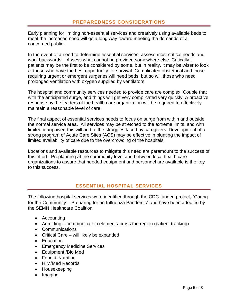Early planning for limiting non-essential services and creatively using available beds to meet the increased need will go a long way toward meeting the demands of a concerned public.

In the event of a need to determine essential services, assess most critical needs and work backwards. Assess what cannot be provided somewhere else. Critically ill patients may be the first to be considered by some, but in reality, it may be wiser to look at those who have the best opportunity for survival. Complicated obstetrical and those requiring urgent or emergent surgeries will need beds, but so will those who need prolonged ventilation with oxygen supplied by ventilators.

The hospital and community services needed to provide care are complex. Couple that with the anticipated surge, and things will get very complicated very quickly. A proactive response by the leaders of the health care organization will be required to effectively maintain a reasonable level of care.

The final aspect of essential services needs to focus on surge from within and outside the normal service area. All services may be stretched to the extreme limits, and with limited manpower, this will add to the struggles faced by caregivers. Development of a strong program of Acute Care Sites (ACS) may be effective in blunting the impact of limited availability of care due to the overcrowding of the hospitals.

Locations and available resources to mitigate this need are paramount to the success of this effort. Preplanning at the community level and between local health care organizations to assure that needed equipment and personnel are available is the key to this success.

#### **ESSENTIAL HOSPITAL SERVICES**

The following hospital services were identified through the CDC-funded project, "Caring for the Community – Preparing for an Influenza Pandemic" and have been adopted by the SEMN Healthcare Coalition.

- Accounting
- Admitting communication element across the region (patient tracking)
- Communications
- Critical Care will likely be expanded
- Education
- Emergency Medicine Services
- Equipment /Bio Med
- Food & Nutrition
- HIM/Med Records
- Housekeeping
- Imaging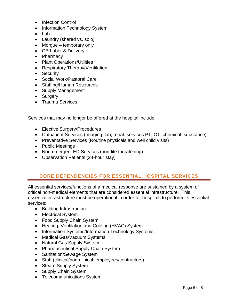- Infection Control
- Information Technology System
- Lab
- Laundry (shared vs. solo)
- Morgue temporary only
- OB Labor & Delivery
- Pharmacy
- Plant Operations/Utilities
- Respiratory Therapy/Ventilation
- Security
- Social Work/Pastoral Care
- Staffing/Human Resources
- Supply Management
- Surgery
- Trauma Services

Services that may no longer be offered at the hospital include:

- Elective Surgery/Procedures
- Outpatient Services (Imaging, lab, rehab services PT, OT, chemical, substance)
- Preventative Services (Routine physicals and well child visits)
- Public Meetings
- Non-emergent ED Services (non-life threatening)
- Observation Patients (24-hour stay)

#### **CORE DEPENDENCIES FOR ESSENTIAL HOSPITAL SERVICES**

All essential services/functions of a medical response are sustained by a system of critical non-medical elements that are considered essential infrastructure. This essential infrastructure must be operational in order for hospitals to perform its essential services:

- Building Infrastructure
- Electrical System
- Food Supply Chain System
- Heating, Ventilation and Cooling (HVAC) System
- Information Systems/Information Technology Systems
- Medical Gas/Vacuum Systems
- Natural Gas Supply System
- Pharmaceutical Supply Chain System
- Sanitation/Sewage System
- Staff (clinical/non-clinical; employees/contractors)
- Steam Supply System
- Supply Chain System
- Telecommunications System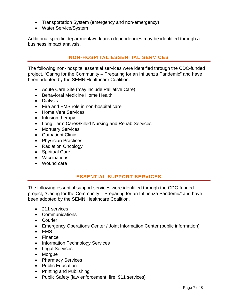- Transportation System (emergency and non-emergency)
- Water Service/System

Additional specific department/work area dependencies may be identified through a business impact analysis.

#### **NON-HOSPITAL ESSENTIAL SERVICES**

The following non- hospital essential services were identified through the CDC-funded project, "Caring for the Community – Preparing for an Influenza Pandemic" and have been adopted by the SEMN Healthcare Coalition.

- Acute Care Site (may include Palliative Care)
- Behavioral Medicine Home Health
- Dialysis
- Fire and EMS role in non-hospital care
- Home Vent Services
- Infusion therapy
- Long Term Care/Skilled Nursing and Rehab Services
- Mortuary Services
- Outpatient Clinic
- Physician Practices
- Radiation Oncology
- Spiritual Care
- Vaccinations
- Wound care

#### **ESSENTIAL SUPPORT SERVICES**

The following essential support services were identified through the CDC-funded project, "Caring for the Community – Preparing for an Influenza Pandemic" and have been adopted by the SEMN Healthcare Coalition.

- 211 services
- Communications
- Courier
- Emergency Operations Center / Joint Information Center (public information)
- EMS
- Finance
- Information Technology Services
- Legal Services
- Morgue
- Pharmacy Services
- Public Education
- Printing and Publishing
- Public Safety (law enforcement, fire, 911 services)